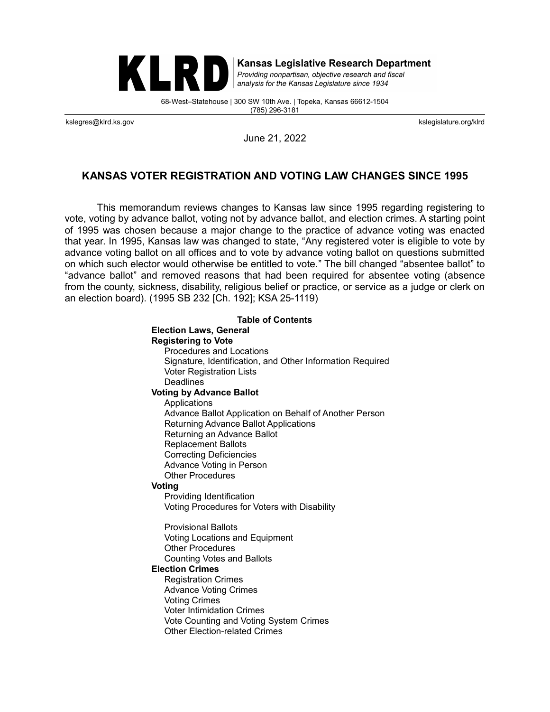

**Kansas Legislative Research Department** 

Providing nonpartisan, objective research and fiscal analysis for the Kansas Legislature since 1934

68-West–Statehouse | 300 SW 10th Ave. | Topeka, Kansas 66612-1504 (785) 296-3181

kslegres@klrd.ks.gov kslegislature.org/klrd

June 21, 2022

### **KANSAS VOTER REGISTRATION AND VOTING LAW CHANGES SINCE 1995**

This memorandum reviews changes to Kansas law since 1995 regarding registering to vote, voting by advance ballot, voting not by advance ballot, and election crimes. A starting point of 1995 was chosen because a major change to the practice of advance voting was enacted that year. In 1995, Kansas law was changed to state, "Any registered voter is eligible to vote by advance voting ballot on all offices and to vote by advance voting ballot on questions submitted on which such elector would otherwise be entitled to vote." The bill changed "absentee ballot" to "advance ballot" and removed reasons that had been required for absentee voting (absence from the county, sickness, disability, religious belief or practice, or service as a judge or clerk on an election board). (1995 SB 232 [Ch. 192]; KSA 25-1119)

<span id="page-0-0"></span>

| <b>Table of Contents</b>                                  |
|-----------------------------------------------------------|
| <b>Election Laws, General</b>                             |
| <b>Registering to Vote</b>                                |
| <b>Procedures and Locations</b>                           |
| Signature, Identification, and Other Information Required |
| <b>Voter Registration Lists</b>                           |
| Deadlines                                                 |
| <b>Voting by Advance Ballot</b>                           |
| Applications                                              |
| Advance Ballot Application on Behalf of Another Person    |
| <b>Returning Advance Ballot Applications</b>              |
| Returning an Advance Ballot                               |
| <b>Replacement Ballots</b>                                |
| <b>Correcting Deficiencies</b>                            |
| Advance Voting in Person                                  |
| <b>Other Procedures</b>                                   |
| Voting                                                    |
| Providing Identification                                  |
| Voting Procedures for Voters with Disability              |
| <b>Provisional Ballots</b>                                |
| Voting Locations and Equipment                            |
| <b>Other Procedures</b>                                   |
| <b>Counting Votes and Ballots</b>                         |
| <b>Election Crimes</b>                                    |
| <b>Registration Crimes</b>                                |
| <b>Advance Voting Crimes</b>                              |
| <b>Voting Crimes</b>                                      |
| <b>Voter Intimidation Crimes</b>                          |
| Vote Counting and Voting System Crimes                    |
| <b>Other Election-related Crimes</b>                      |
|                                                           |
|                                                           |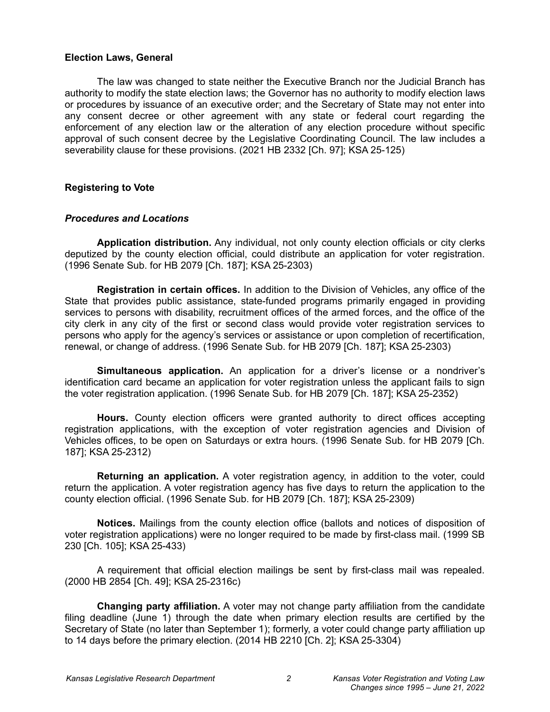#### <span id="page-1-0"></span>**Election Laws, General**

The law was changed to state neither the Executive Branch nor the Judicial Branch has authority to modify the state election laws; the Governor has no authority to modify election laws or procedures by issuance of an executive order; and the Secretary of State may not enter into any consent decree or other agreement with any state or federal court regarding the enforcement of any election law or the alteration of any election procedure without specific approval of such consent decree by the Legislative Coordinating Council. The law includes a severability clause for these provisions. (2021 HB 2332 [Ch. 97]; KSA 25-125)

# <span id="page-1-2"></span>**Registering to Vote**

# <span id="page-1-1"></span>*Procedures and Locations*

**Application distribution.** Any individual, not only county election officials or city clerks deputized by the county election official, could distribute an application for voter registration. (1996 Senate Sub. for HB 2079 [Ch. 187]; KSA 25-2303)

**Registration in certain offices.** In addition to the Division of Vehicles, any office of the State that provides public assistance, state-funded programs primarily engaged in providing services to persons with disability, recruitment offices of the armed forces, and the office of the city clerk in any city of the first or second class would provide voter registration services to persons who apply for the agency's services or assistance or upon completion of recertification, renewal, or change of address. (1996 Senate Sub. for HB 2079 [Ch. 187]; KSA 25-2303)

**Simultaneous application.** An application for a driver's license or a nondriver's identification card became an application for voter registration unless the applicant fails to sign the voter registration application. (1996 Senate Sub. for HB 2079 [Ch. 187]; KSA 25-2352)

**Hours.** County election officers were granted authority to direct offices accepting registration applications, with the exception of voter registration agencies and Division of Vehicles offices, to be open on Saturdays or extra hours. (1996 Senate Sub. for HB 2079 [Ch. 187]; KSA 25-2312)

**Returning an application.** A voter registration agency, in addition to the voter, could return the application. A voter registration agency has five days to return the application to the county election official. (1996 Senate Sub. for HB 2079 [Ch. 187]; KSA 25-2309)

**Notices.** Mailings from the county election office (ballots and notices of disposition of voter registration applications) were no longer required to be made by first-class mail. (1999 SB 230 [Ch. 105]; KSA 25-433)

A requirement that official election mailings be sent by first-class mail was repealed. (2000 HB 2854 [Ch. 49]; KSA 25-2316c)

**Changing party affiliation.** A voter may not change party affiliation from the candidate filing deadline (June 1) through the date when primary election results are certified by the Secretary of State (no later than September 1); formerly, a voter could change party affiliation up to 14 days before the primary election. (2014 HB 2210 [Ch. 2]; KSA 25-3304)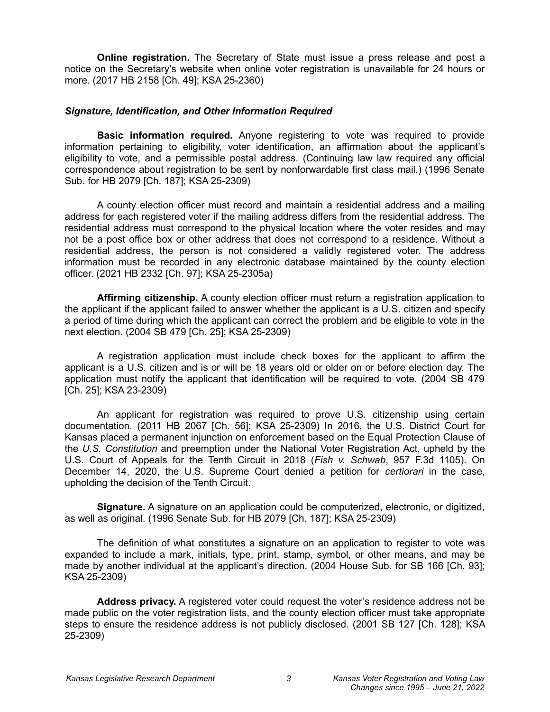**Online registration.** The Secretary of State must issue a press release and post a notice on the Secretary's website when online voter registration is unavailable for 24 hours or more. (2017 HB 2158 [Ch. 49]; KSA 25-2360)

#### <span id="page-2-0"></span>*Signature, Identification, and Other Information Required*

**Basic information required.** Anyone registering to vote was required to provide information pertaining to eligibility, voter identification, an affirmation about the applicant's eligibility to vote, and a permissible postal address. (Continuing law law required any official correspondence about registration to be sent by nonforwardable first class mail.) (1996 Senate Sub. for HB 2079 [Ch. 187]; KSA 25-2309)

A county election officer must record and maintain a residential address and a mailing address for each registered voter if the mailing address differs from the residential address. The residential address must correspond to the physical location where the voter resides and may not be a post office box or other address that does not correspond to a residence. Without a residential address, the person is not considered a validly registered voter. The address information must be recorded in any electronic database maintained by the county election officer. (2021 HB 2332 [Ch. 97]; KSA 25-2305a)

**Affirming citizenship.** A county election officer must return a registration application to the applicant if the applicant failed to answer whether the applicant is a U.S. citizen and specify a period of time during which the applicant can correct the problem and be eligible to vote in the next election. (2004 SB 479 [Ch. 25]; KSA 25-2309)

A registration application must include check boxes for the applicant to affirm the applicant is a U.S. citizen and is or will be 18 years old or older on or before election day. The application must notify the applicant that identification will be required to vote. (2004 SB 479 [Ch. 25]; KSA 23-2309)

An applicant for registration was required to prove U.S. citizenship using certain documentation. (2011 HB 2067 [Ch. 56]; KSA 25-2309) In 2016, the U.S. District Court for Kansas placed a permanent injunction on enforcement based on the Equal Protection Clause of the *U.S. Constitution* and preemption under the National Voter Registration Act, upheld by the U.S. Court of Appeals for the Tenth Circuit in 2018 (*Fish v. Schwab*, 957 F.3d 1105). On December 14, 2020, the U.S. Supreme Court denied a petition for *certiorari* in the case, upholding the decision of the Tenth Circuit.

**Signature.** A signature on an application could be computerized, electronic, or digitized, as well as original. (1996 Senate Sub. for HB 2079 [Ch. 187]; KSA 25-2309)

The definition of what constitutes a signature on an application to register to vote was expanded to include a mark, initials, type, print, stamp, symbol, or other means, and may be made by another individual at the applicant's direction. (2004 House Sub. for SB 166 [Ch. 93]; KSA 25-2309)

**Address privacy.** A registered voter could request the voter's residence address not be made public on the voter registration lists, and the county election officer must take appropriate steps to ensure the residence address is not publicly disclosed. (2001 SB 127 [Ch. 128]; KSA 25-2309)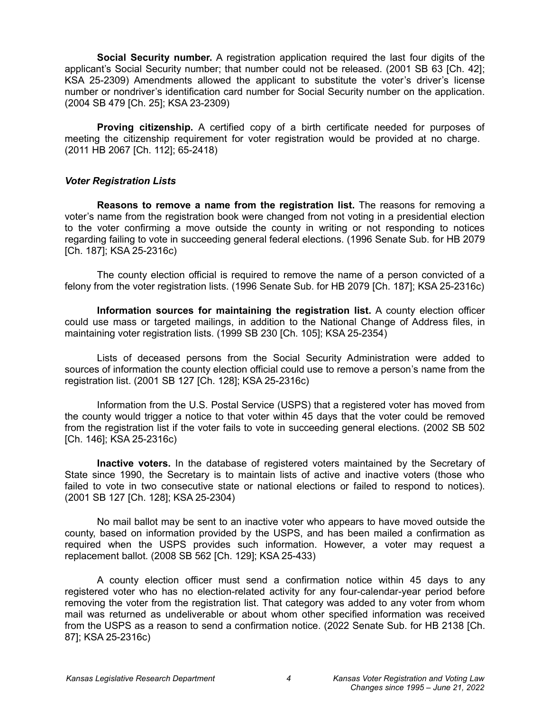**Social Security number.** A registration application required the last four digits of the applicant's Social Security number; that number could not be released. (2001 SB 63 [Ch. 42]; KSA 25-2309) Amendments allowed the applicant to substitute the voter's driver's license number or nondriver's identification card number for Social Security number on the application. (2004 SB 479 [Ch. 25]; KSA 23-2309)

**Proving citizenship.** A certified copy of a birth certificate needed for purposes of meeting the citizenship requirement for voter registration would be provided at no charge. (2011 HB 2067 [Ch. 112]; 65-2418)

#### <span id="page-3-0"></span>*Voter Registration Lists*

**Reasons to remove a name from the registration list.** The reasons for removing a voter's name from the registration book were changed from not voting in a presidential election to the voter confirming a move outside the county in writing or not responding to notices regarding failing to vote in succeeding general federal elections. (1996 Senate Sub. for HB 2079 [Ch. 187]; KSA 25-2316c)

The county election official is required to remove the name of a person convicted of a felony from the voter registration lists. (1996 Senate Sub. for HB 2079 [Ch. 187]; KSA 25-2316c)

**Information sources for maintaining the registration list.** A county election officer could use mass or targeted mailings, in addition to the National Change of Address files, in maintaining voter registration lists. (1999 SB 230 [Ch. 105]; KSA 25-2354)

Lists of deceased persons from the Social Security Administration were added to sources of information the county election official could use to remove a person's name from the registration list. (2001 SB 127 [Ch. 128]; KSA 25-2316c)

Information from the U.S. Postal Service (USPS) that a registered voter has moved from the county would trigger a notice to that voter within 45 days that the voter could be removed from the registration list if the voter fails to vote in succeeding general elections. (2002 SB 502 [Ch. 146]; KSA 25-2316c)

**Inactive voters.** In the database of registered voters maintained by the Secretary of State since 1990, the Secretary is to maintain lists of active and inactive voters (those who failed to vote in two consecutive state or national elections or failed to respond to notices). (2001 SB 127 [Ch. 128]; KSA 25-2304)

No mail ballot may be sent to an inactive voter who appears to have moved outside the county, based on information provided by the USPS, and has been mailed a confirmation as required when the USPS provides such information. However, a voter may request a replacement ballot. (2008 SB 562 [Ch. 129]; KSA 25-433)

A county election officer must send a confirmation notice within 45 days to any registered voter who has no election-related activity for any four-calendar-year period before removing the voter from the registration list. That category was added to any voter from whom mail was returned as undeliverable or about whom other specified information was received from the USPS as a reason to send a confirmation notice. (2022 Senate Sub. for HB 2138 [Ch. 87]; KSA 25-2316c)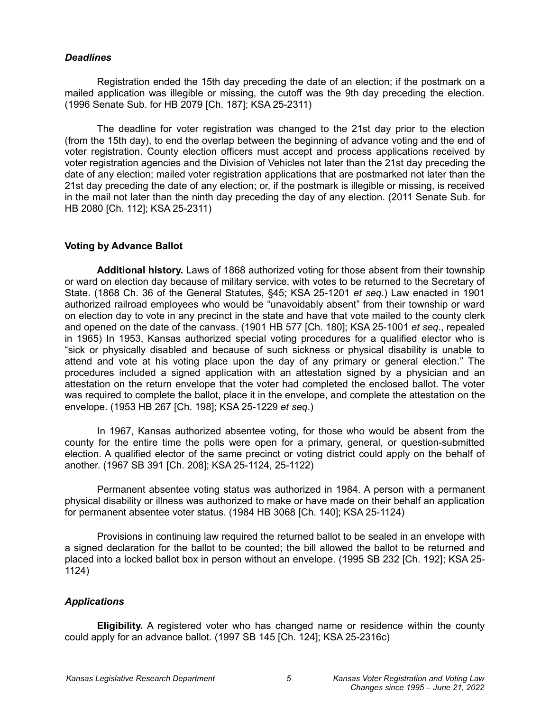#### <span id="page-4-2"></span>*Deadlines*

Registration ended the 15th day preceding the date of an election; if the postmark on a mailed application was illegible or missing, the cutoff was the 9th day preceding the election. (1996 Senate Sub. for HB 2079 [Ch. 187]; KSA 25-2311)

The deadline for voter registration was changed to the 21st day prior to the election (from the 15th day), to end the overlap between the beginning of advance voting and the end of voter registration. County election officers must accept and process applications received by voter registration agencies and the Division of Vehicles not later than the 21st day preceding the date of any election; mailed voter registration applications that are postmarked not later than the 21st day preceding the date of any election; or, if the postmark is illegible or missing, is received in the mail not later than the ninth day preceding the day of any election. (2011 Senate Sub. for HB 2080 [Ch. 112]; KSA 25-2311)

# <span id="page-4-1"></span>**Voting by Advance Ballot**

**Additional history.** Laws of 1868 authorized voting for those absent from their township or ward on election day because of military service, with votes to be returned to the Secretary of State. (1868 Ch. 36 of the General Statutes, §45; KSA 25-1201 *et seq*.) Law enacted in 1901 authorized railroad employees who would be "unavoidably absent" from their township or ward on election day to vote in any precinct in the state and have that vote mailed to the county clerk and opened on the date of the canvass. (1901 HB 577 [Ch. 180]; KSA 25-1001 *et seq*., repealed in 1965) In 1953, Kansas authorized special voting procedures for a qualified elector who is "sick or physically disabled and because of such sickness or physical disability is unable to attend and vote at his voting place upon the day of any primary or general election." The procedures included a signed application with an attestation signed by a physician and an attestation on the return envelope that the voter had completed the enclosed ballot. The voter was required to complete the ballot, place it in the envelope, and complete the attestation on the envelope. (1953 HB 267 [Ch. 198]; KSA 25-1229 *et seq*.)

In 1967, Kansas authorized absentee voting, for those who would be absent from the county for the entire time the polls were open for a primary, general, or question-submitted election. A qualified elector of the same precinct or voting district could apply on the behalf of another. (1967 SB 391 [Ch. 208]; KSA 25-1124, 25-1122)

Permanent absentee voting status was authorized in 1984. A person with a permanent physical disability or illness was authorized to make or have made on their behalf an application for permanent absentee voter status. (1984 HB 3068 [Ch. 140]; KSA 25-1124)

Provisions in continuing law required the returned ballot to be sealed in an envelope with a signed declaration for the ballot to be counted; the bill allowed the ballot to be returned and placed into a locked ballot box in person without an envelope. (1995 SB 232 [Ch. 192]; KSA 25- 1124)

# <span id="page-4-0"></span>*Applications*

**Eligibility.** A registered voter who has changed name or residence within the county could apply for an advance ballot. (1997 SB 145 [Ch. 124]; KSA 25-2316c)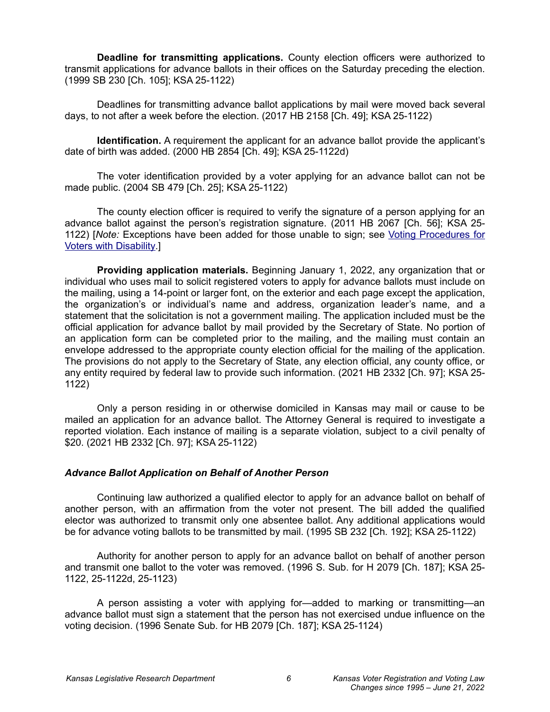**Deadline for transmitting applications.** County election officers were authorized to transmit applications for advance ballots in their offices on the Saturday preceding the election. (1999 SB 230 [Ch. 105]; KSA 25-1122)

Deadlines for transmitting advance ballot applications by mail were moved back several days, to not after a week before the election. (2017 HB 2158 [Ch. 49]; KSA 25-1122)

**Identification.** A requirement the applicant for an advance ballot provide the applicant's date of birth was added. (2000 HB 2854 [Ch. 49]; KSA 25-1122d)

The voter identification provided by a voter applying for an advance ballot can not be made public. (2004 SB 479 [Ch. 25]; KSA 25-1122)

The county election officer is required to verify the signature of a person applying for an advance ballot against the person's registration signature. (2011 HB 2067 [Ch. 56]; KSA 25- 1122) [*Note:* Exceptions have been added for those unable to sign; see [Voting Procedures for](#page-9-0) [Voters with Disability.](#page-9-0)]

**Providing application materials.** Beginning January 1, 2022, any organization that or individual who uses mail to solicit registered voters to apply for advance ballots must include on the mailing, using a 14-point or larger font, on the exterior and each page except the application, the organization's or individual's name and address, organization leader's name, and a statement that the solicitation is not a government mailing. The application included must be the official application for advance ballot by mail provided by the Secretary of State. No portion of an application form can be completed prior to the mailing, and the mailing must contain an envelope addressed to the appropriate county election official for the mailing of the application. The provisions do not apply to the Secretary of State, any election official, any county office, or any entity required by federal law to provide such information. (2021 HB 2332 [Ch. 97]; KSA 25- 1122)

Only a person residing in or otherwise domiciled in Kansas may mail or cause to be mailed an application for an advance ballot. The Attorney General is required to investigate a reported violation. Each instance of mailing is a separate violation, subject to a civil penalty of \$20. (2021 HB 2332 [Ch. 97]; KSA 25-1122)

#### <span id="page-5-0"></span>*Advance Ballot Application on Behalf of Another Person*

Continuing law authorized a qualified elector to apply for an advance ballot on behalf of another person, with an affirmation from the voter not present. The bill added the qualified elector was authorized to transmit only one absentee ballot. Any additional applications would be for advance voting ballots to be transmitted by mail. (1995 SB 232 [Ch. 192]; KSA 25-1122)

Authority for another person to apply for an advance ballot on behalf of another person and transmit one ballot to the voter was removed. (1996 S. Sub. for H 2079 [Ch. 187]; KSA 25- 1122, 25-1122d, 25-1123)

A person assisting a voter with applying for—added to marking or transmitting—an advance ballot must sign a statement that the person has not exercised undue influence on the voting decision. (1996 Senate Sub. for HB 2079 [Ch. 187]; KSA 25-1124)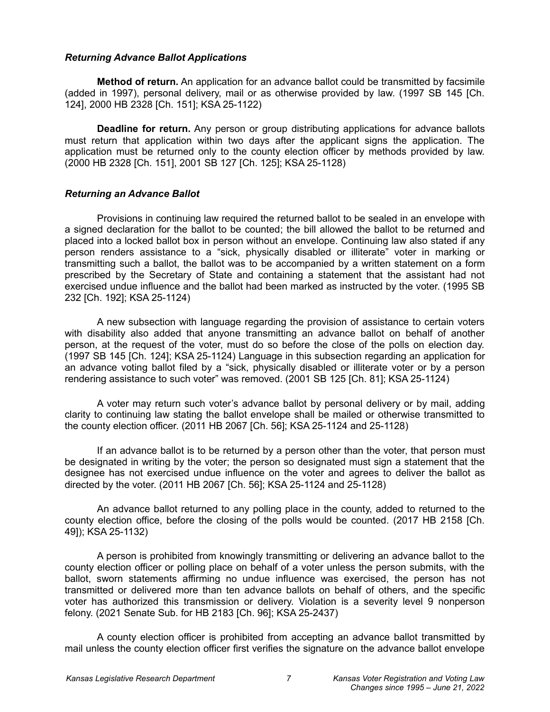### <span id="page-6-1"></span>*Returning Advance Ballot Applications*

**Method of return.** An application for an advance ballot could be transmitted by facsimile (added in 1997), personal delivery, mail or as otherwise provided by law. (1997 SB 145 [Ch. 124], 2000 HB 2328 [Ch. 151]; KSA 25-1122)

**Deadline for return.** Any person or group distributing applications for advance ballots must return that application within two days after the applicant signs the application. The application must be returned only to the county election officer by methods provided by law. (2000 HB 2328 [Ch. 151], 2001 SB 127 [Ch. 125]; KSA 25-1128)

### <span id="page-6-0"></span>*Returning an Advance Ballot*

Provisions in continuing law required the returned ballot to be sealed in an envelope with a signed declaration for the ballot to be counted; the bill allowed the ballot to be returned and placed into a locked ballot box in person without an envelope. Continuing law also stated if any person renders assistance to a "sick, physically disabled or illiterate" voter in marking or transmitting such a ballot, the ballot was to be accompanied by a written statement on a form prescribed by the Secretary of State and containing a statement that the assistant had not exercised undue influence and the ballot had been marked as instructed by the voter. (1995 SB 232 [Ch. 192]; KSA 25-1124)

A new subsection with language regarding the provision of assistance to certain voters with disability also added that anyone transmitting an advance ballot on behalf of another person, at the request of the voter, must do so before the close of the polls on election day. (1997 SB 145 [Ch. 124]; KSA 25-1124) Language in this subsection regarding an application for an advance voting ballot filed by a "sick, physically disabled or illiterate voter or by a person rendering assistance to such voter" was removed. (2001 SB 125 [Ch. 81]; KSA 25-1124)

A voter may return such voter's advance ballot by personal delivery or by mail, adding clarity to continuing law stating the ballot envelope shall be mailed or otherwise transmitted to the county election officer. (2011 HB 2067 [Ch. 56]; KSA 25-1124 and 25-1128)

If an advance ballot is to be returned by a person other than the voter, that person must be designated in writing by the voter; the person so designated must sign a statement that the designee has not exercised undue influence on the voter and agrees to deliver the ballot as directed by the voter. (2011 HB 2067 [Ch. 56]; KSA 25-1124 and 25-1128)

An advance ballot returned to any polling place in the county, added to returned to the county election office, before the closing of the polls would be counted. (2017 HB 2158 [Ch. 49]); KSA 25-1132)

A person is prohibited from knowingly transmitting or delivering an advance ballot to the county election officer or polling place on behalf of a voter unless the person submits, with the ballot, sworn statements affirming no undue influence was exercised, the person has not transmitted or delivered more than ten advance ballots on behalf of others, and the specific voter has authorized this transmission or delivery. Violation is a severity level 9 nonperson felony. (2021 Senate Sub. for HB 2183 [Ch. 96]; KSA 25-2437)

A county election officer is prohibited from accepting an advance ballot transmitted by mail unless the county election officer first verifies the signature on the advance ballot envelope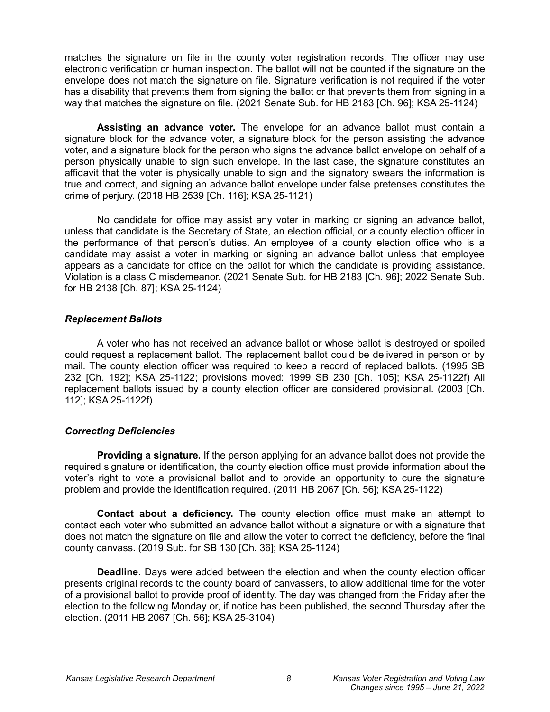matches the signature on file in the county voter registration records. The officer may use electronic verification or human inspection. The ballot will not be counted if the signature on the envelope does not match the signature on file. Signature verification is not required if the voter has a disability that prevents them from signing the ballot or that prevents them from signing in a way that matches the signature on file. (2021 Senate Sub. for HB 2183 [Ch. 96]; KSA 25-1124)

**Assisting an advance voter.** The envelope for an advance ballot must contain a signature block for the advance voter, a signature block for the person assisting the advance voter, and a signature block for the person who signs the advance ballot envelope on behalf of a person physically unable to sign such envelope. In the last case, the signature constitutes an affidavit that the voter is physically unable to sign and the signatory swears the information is true and correct, and signing an advance ballot envelope under false pretenses constitutes the crime of perjury. (2018 HB 2539 [Ch. 116]; KSA 25-1121)

No candidate for office may assist any voter in marking or signing an advance ballot, unless that candidate is the Secretary of State, an election official, or a county election officer in the performance of that person's duties. An employee of a county election office who is a candidate may assist a voter in marking or signing an advance ballot unless that employee appears as a candidate for office on the ballot for which the candidate is providing assistance. Violation is a class C misdemeanor. (2021 Senate Sub. for HB 2183 [Ch. 96]; 2022 Senate Sub. for HB 2138 [Ch. 87]; KSA 25-1124)

### <span id="page-7-1"></span>*Replacement Ballots*

A voter who has not received an advance ballot or whose ballot is destroyed or spoiled could request a replacement ballot. The replacement ballot could be delivered in person or by mail. The county election officer was required to keep a record of replaced ballots. (1995 SB 232 [Ch. 192]; KSA 25-1122; provisions moved: 1999 SB 230 [Ch. 105]; KSA 25-1122f) All replacement ballots issued by a county election officer are considered provisional. (2003 [Ch. 112]; KSA 25-1122f)

# <span id="page-7-0"></span>*Correcting Deficiencies*

**Providing a signature.** If the person applying for an advance ballot does not provide the required signature or identification, the county election office must provide information about the voter's right to vote a provisional ballot and to provide an opportunity to cure the signature problem and provide the identification required. (2011 HB 2067 [Ch. 56]; KSA 25-1122)

**Contact about a deficiency.** The county election office must make an attempt to contact each voter who submitted an advance ballot without a signature or with a signature that does not match the signature on file and allow the voter to correct the deficiency, before the final county canvass. (2019 Sub. for SB 130 [Ch. 36]; KSA 25-1124)

**Deadline.** Days were added between the election and when the county election officer presents original records to the county board of canvassers, to allow additional time for the voter of a provisional ballot to provide proof of identity. The day was changed from the Friday after the election to the following Monday or, if notice has been published, the second Thursday after the election. (2011 HB 2067 [Ch. 56]; KSA 25-3104)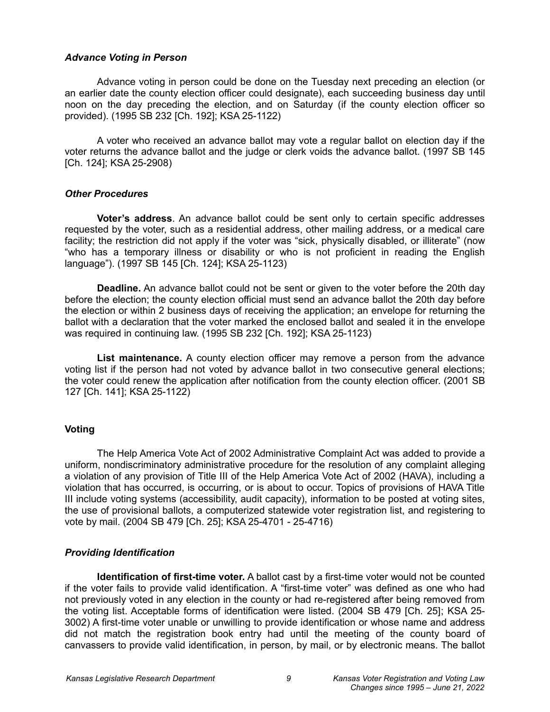#### <span id="page-8-3"></span>*Advance Voting in Person*

Advance voting in person could be done on the Tuesday next preceding an election (or an earlier date the county election officer could designate), each succeeding business day until noon on the day preceding the election, and on Saturday (if the county election officer so provided). (1995 SB 232 [Ch. 192]; KSA 25-1122)

A voter who received an advance ballot may vote a regular ballot on election day if the voter returns the advance ballot and the judge or clerk voids the advance ballot. (1997 SB 145 [Ch. 124]; KSA 25-2908)

### <span id="page-8-2"></span>*Other Procedures*

**Voter's address**. An advance ballot could be sent only to certain specific addresses requested by the voter, such as a residential address, other mailing address, or a medical care facility; the restriction did not apply if the voter was "sick, physically disabled, or illiterate" (now "who has a temporary illness or disability or who is not proficient in reading the English language"). (1997 SB 145 [Ch. 124]; KSA 25-1123)

**Deadline.** An advance ballot could not be sent or given to the voter before the 20th day before the election; the county election official must send an advance ballot the 20th day before the election or within 2 business days of receiving the application; an envelope for returning the ballot with a declaration that the voter marked the enclosed ballot and sealed it in the envelope was required in continuing law. (1995 SB 232 [Ch. 192]; KSA 25-1123)

**List maintenance.** A county election officer may remove a person from the advance voting list if the person had not voted by advance ballot in two consecutive general elections; the voter could renew the application after notification from the county election officer. (2001 SB 127 [Ch. 141]; KSA 25-1122)

# <span id="page-8-1"></span>**Voting**

The Help America Vote Act of 2002 Administrative Complaint Act was added to provide a uniform, nondiscriminatory administrative procedure for the resolution of any complaint alleging a violation of any provision of Title III of the Help America Vote Act of 2002 (HAVA), including a violation that has occurred, is occurring, or is about to occur. Topics of provisions of HAVA Title III include voting systems (accessibility, audit capacity), information to be posted at voting sites, the use of provisional ballots, a computerized statewide voter registration list, and registering to vote by mail. (2004 SB 479 [Ch. 25]; KSA 25-4701 - 25-4716)

# <span id="page-8-0"></span>*Providing Identification*

**Identification of first-time voter.** A ballot cast by a first-time voter would not be counted if the voter fails to provide valid identification. A "first-time voter" was defined as one who had not previously voted in any election in the county or had re-registered after being removed from the voting list. Acceptable forms of identification were listed. (2004 SB 479 [Ch. 25]; KSA 25- 3002) A first-time voter unable or unwilling to provide identification or whose name and address did not match the registration book entry had until the meeting of the county board of canvassers to provide valid identification, in person, by mail, or by electronic means. The ballot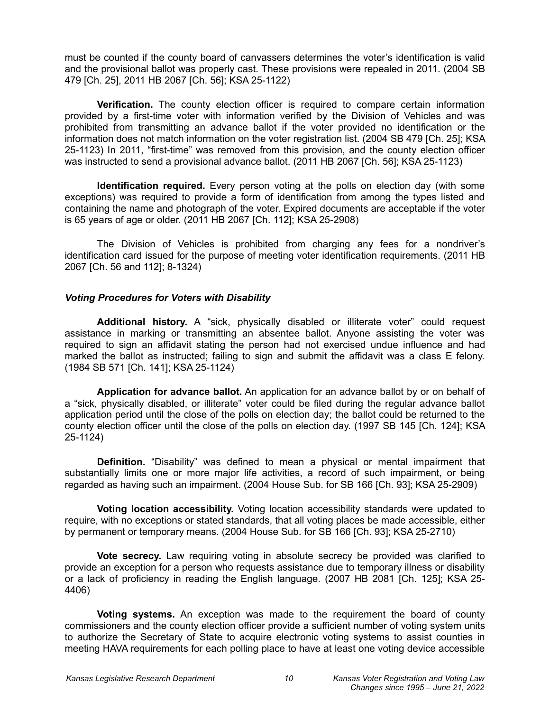must be counted if the county board of canvassers determines the voter's identification is valid and the provisional ballot was properly cast. These provisions were repealed in 2011. (2004 SB 479 [Ch. 25], 2011 HB 2067 [Ch. 56]; KSA 25-1122)

**Verification.** The county election officer is required to compare certain information provided by a first-time voter with information verified by the Division of Vehicles and was prohibited from transmitting an advance ballot if the voter provided no identification or the information does not match information on the voter registration list. (2004 SB 479 [Ch. 25]; KSA 25-1123) In 2011, "first-time" was removed from this provision, and the county election officer was instructed to send a provisional advance ballot. (2011 HB 2067 [Ch. 56]; KSA 25-1123)

**Identification required.** Every person voting at the polls on election day (with some exceptions) was required to provide a form of identification from among the types listed and containing the name and photograph of the voter. Expired documents are acceptable if the voter is 65 years of age or older. (2011 HB 2067 [Ch. 112]; KSA 25-2908)

The Division of Vehicles is prohibited from charging any fees for a nondriver's identification card issued for the purpose of meeting voter identification requirements. (2011 HB 2067 [Ch. 56 and 112]; 8-1324)

### <span id="page-9-0"></span>*Voting Procedures for Voters with Disability*

**Additional history.** A "sick, physically disabled or illiterate voter" could request assistance in marking or transmitting an absentee ballot. Anyone assisting the voter was required to sign an affidavit stating the person had not exercised undue influence and had marked the ballot as instructed; failing to sign and submit the affidavit was a class E felony. (1984 SB 571 [Ch. 141]; KSA 25-1124)

**Application for advance ballot.** An application for an advance ballot by or on behalf of a "sick, physically disabled, or illiterate" voter could be filed during the regular advance ballot application period until the close of the polls on election day; the ballot could be returned to the county election officer until the close of the polls on election day. (1997 SB 145 [Ch. 124]; KSA 25-1124)

**Definition.** "Disability" was defined to mean a physical or mental impairment that substantially limits one or more major life activities, a record of such impairment, or being regarded as having such an impairment. (2004 House Sub. for SB 166 [Ch. 93]; KSA 25-2909)

**Voting location accessibility.** Voting location accessibility standards were updated to require, with no exceptions or stated standards, that all voting places be made accessible, either by permanent or temporary means. (2004 House Sub. for SB 166 [Ch. 93]; KSA 25-2710)

**Vote secrecy.** Law requiring voting in absolute secrecy be provided was clarified to provide an exception for a person who requests assistance due to temporary illness or disability or a lack of proficiency in reading the English language. (2007 HB 2081 [Ch. 125]; KSA 25- 4406)

**Voting systems.** An exception was made to the requirement the board of county commissioners and the county election officer provide a sufficient number of voting system units to authorize the Secretary of State to acquire electronic voting systems to assist counties in meeting HAVA requirements for each polling place to have at least one voting device accessible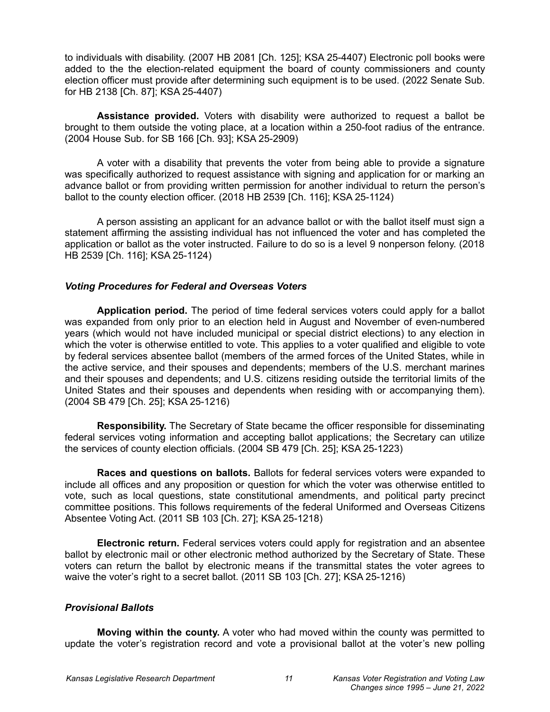to individuals with disability. (2007 HB 2081 [Ch. 125]; KSA 25-4407) Electronic poll books were added to the the election-related equipment the board of county commissioners and county election officer must provide after determining such equipment is to be used. (2022 Senate Sub. for HB 2138 [Ch. 87]; KSA 25-4407)

**Assistance provided.** Voters with disability were authorized to request a ballot be brought to them outside the voting place, at a location within a 250-foot radius of the entrance. (2004 House Sub. for SB 166 [Ch. 93]; KSA 25-2909)

A voter with a disability that prevents the voter from being able to provide a signature was specifically authorized to request assistance with signing and application for or marking an advance ballot or from providing written permission for another individual to return the person's ballot to the county election officer. (2018 HB 2539 [Ch. 116]; KSA 25-1124)

A person assisting an applicant for an advance ballot or with the ballot itself must sign a statement affirming the assisting individual has not influenced the voter and has completed the application or ballot as the voter instructed. Failure to do so is a level 9 nonperson felony. (2018 HB 2539 [Ch. 116]; KSA 25-1124)

# *Voting Procedures for Federal and Overseas Voters*

**Application period.** The period of time federal services voters could apply for a ballot was expanded from only prior to an election held in August and November of even-numbered years (which would not have included municipal or special district elections) to any election in which the voter is otherwise entitled to vote. This applies to a voter qualified and eligible to vote by federal services absentee ballot (members of the armed forces of the United States, while in the active service, and their spouses and dependents; members of the U.S. merchant marines and their spouses and dependents; and U.S. citizens residing outside the territorial limits of the United States and their spouses and dependents when residing with or accompanying them). (2004 SB 479 [Ch. 25]; KSA 25-1216)

**Responsibility.** The Secretary of State became the officer responsible for disseminating federal services voting information and accepting ballot applications; the Secretary can utilize the services of county election officials. (2004 SB 479 [Ch. 25]; KSA 25-1223)

**Races and questions on ballots.** Ballots for federal services voters were expanded to include all offices and any proposition or question for which the voter was otherwise entitled to vote, such as local questions, state constitutional amendments, and political party precinct committee positions. This follows requirements of the federal Uniformed and Overseas Citizens Absentee Voting Act. (2011 SB 103 [Ch. 27]; KSA 25-1218)

**Electronic return.** Federal services voters could apply for registration and an absentee ballot by electronic mail or other electronic method authorized by the Secretary of State. These voters can return the ballot by electronic means if the transmittal states the voter agrees to waive the voter's right to a secret ballot. (2011 SB 103 [Ch. 27]; KSA 25-1216)

# <span id="page-10-0"></span>*Provisional Ballots*

**Moving within the county.** A voter who had moved within the county was permitted to update the voter's registration record and vote a provisional ballot at the voter's new polling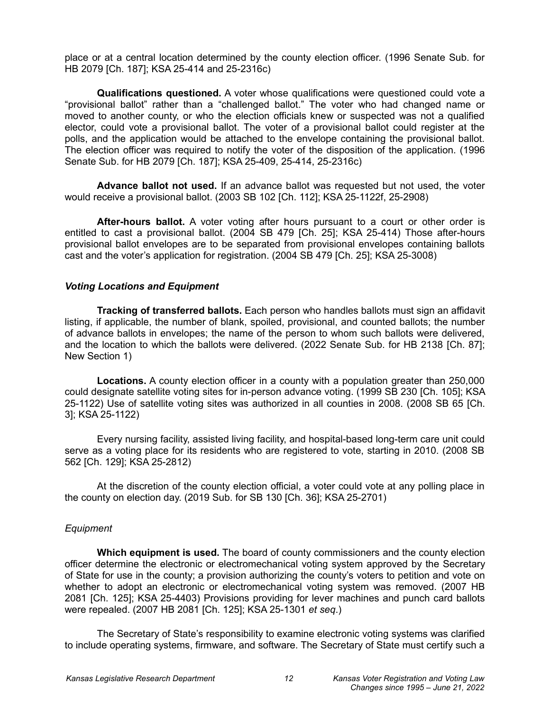place or at a central location determined by the county election officer. (1996 Senate Sub. for HB 2079 [Ch. 187]; KSA 25-414 and 25-2316c)

**Qualifications questioned.** A voter whose qualifications were questioned could vote a "provisional ballot" rather than a "challenged ballot." The voter who had changed name or moved to another county, or who the election officials knew or suspected was not a qualified elector, could vote a provisional ballot. The voter of a provisional ballot could register at the polls, and the application would be attached to the envelope containing the provisional ballot. The election officer was required to notify the voter of the disposition of the application. (1996 Senate Sub. for HB 2079 [Ch. 187]; KSA 25-409, 25-414, 25-2316c)

**Advance ballot not used.** If an advance ballot was requested but not used, the voter would receive a provisional ballot. (2003 SB 102 [Ch. 112]; KSA 25-1122f, 25-2908)

**After-hours ballot.** A voter voting after hours pursuant to a court or other order is entitled to cast a provisional ballot. (2004 SB 479 [Ch. 25]; KSA 25-414) Those after-hours provisional ballot envelopes are to be separated from provisional envelopes containing ballots cast and the voter's application for registration. (2004 SB 479 [Ch. 25]; KSA 25-3008)

### <span id="page-11-0"></span>*Voting Locations and Equipment*

**Tracking of transferred ballots.** Each person who handles ballots must sign an affidavit listing, if applicable, the number of blank, spoiled, provisional, and counted ballots; the number of advance ballots in envelopes; the name of the person to whom such ballots were delivered, and the location to which the ballots were delivered. (2022 Senate Sub. for HB 2138 [Ch. 87]; New Section 1)

**Locations.** A county election officer in a county with a population greater than 250,000 could designate satellite voting sites for in-person advance voting. (1999 SB 230 [Ch. 105]; KSA 25-1122) Use of satellite voting sites was authorized in all counties in 2008. (2008 SB 65 [Ch. 3]; KSA 25-1122)

Every nursing facility, assisted living facility, and hospital-based long-term care unit could serve as a voting place for its residents who are registered to vote, starting in 2010. (2008 SB 562 [Ch. 129]; KSA 25-2812)

At the discretion of the county election official, a voter could vote at any polling place in the county on election day. (2019 Sub. for SB 130 [Ch. 36]; KSA 25-2701)

# *Equipment*

**Which equipment is used.** The board of county commissioners and the county election officer determine the electronic or electromechanical voting system approved by the Secretary of State for use in the county; a provision authorizing the county's voters to petition and vote on whether to adopt an electronic or electromechanical voting system was removed. (2007 HB 2081 [Ch. 125]; KSA 25-4403) Provisions providing for lever machines and punch card ballots were repealed. (2007 HB 2081 [Ch. 125]; KSA 25-1301 *et seq*.)

The Secretary of State's responsibility to examine electronic voting systems was clarified to include operating systems, firmware, and software. The Secretary of State must certify such a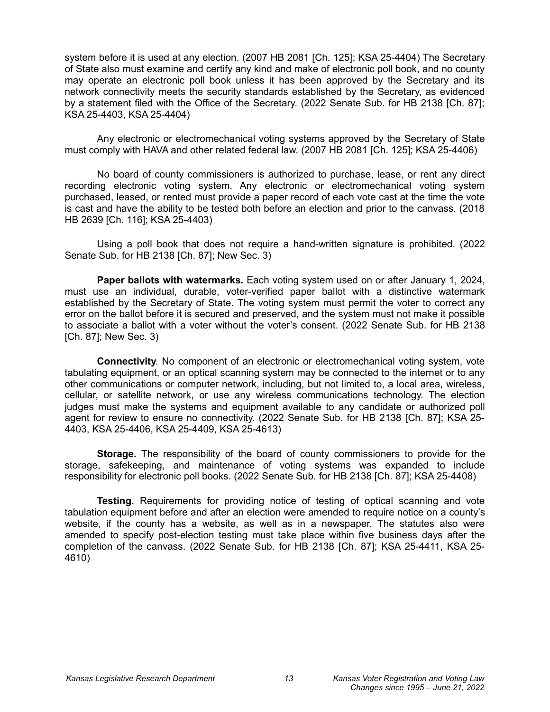system before it is used at any election. (2007 HB 2081 [Ch. 125]; KSA 25-4404) The Secretary of State also must examine and certify any kind and make of electronic poll book, and no county may operate an electronic poll book unless it has been approved by the Secretary and its network connectivity meets the security standards established by the Secretary, as evidenced by a statement filed with the Office of the Secretary. (2022 Senate Sub. for HB 2138 [Ch. 87]; KSA 25-4403, KSA 25-4404)

Any electronic or electromechanical voting systems approved by the Secretary of State must comply with HAVA and other related federal law. (2007 HB 2081 [Ch. 125]; KSA 25-4406)

No board of county commissioners is authorized to purchase, lease, or rent any direct recording electronic voting system. Any electronic or electromechanical voting system purchased, leased, or rented must provide a paper record of each vote cast at the time the vote is cast and have the ability to be tested both before an election and prior to the canvass. (2018 HB 2639 [Ch. 116]; KSA 25-4403)

Using a poll book that does not require a hand-written signature is prohibited. (2022 Senate Sub. for HB 2138 [Ch. 87]; New Sec. 3)

**Paper ballots with watermarks.** Each voting system used on or after January 1, 2024, must use an individual, durable, voter-verified paper ballot with a distinctive watermark established by the Secretary of State. The voting system must permit the voter to correct any error on the ballot before it is secured and preserved, and the system must not make it possible to associate a ballot with a voter without the voter's consent. (2022 Senate Sub. for HB 2138 [Ch. 87]; New Sec. 3)

**Connectivity**. No component of an electronic or electromechanical voting system, vote tabulating equipment, or an optical scanning system may be connected to the internet or to any other communications or computer network, including, but not limited to, a local area, wireless, cellular, or satellite network, or use any wireless communications technology. The election judges must make the systems and equipment available to any candidate or authorized poll agent for review to ensure no connectivity. (2022 Senate Sub. for HB 2138 [Ch. 87]; KSA 25- 4403, KSA 25-4406, KSA 25-4409, KSA 25-4613)

**Storage.** The responsibility of the board of county commissioners to provide for the storage, safekeeping, and maintenance of voting systems was expanded to include responsibility for electronic poll books. (2022 Senate Sub. for HB 2138 [Ch. 87]; KSA 25-4408)

**Testing**. Requirements for providing notice of testing of optical scanning and vote tabulation equipment before and after an election were amended to require notice on a county's website, if the county has a website, as well as in a newspaper. The statutes also were amended to specify post-election testing must take place within five business days after the completion of the canvass. (2022 Senate Sub. for HB 2138 [Ch. 87]; KSA 25-4411, KSA 25- 4610)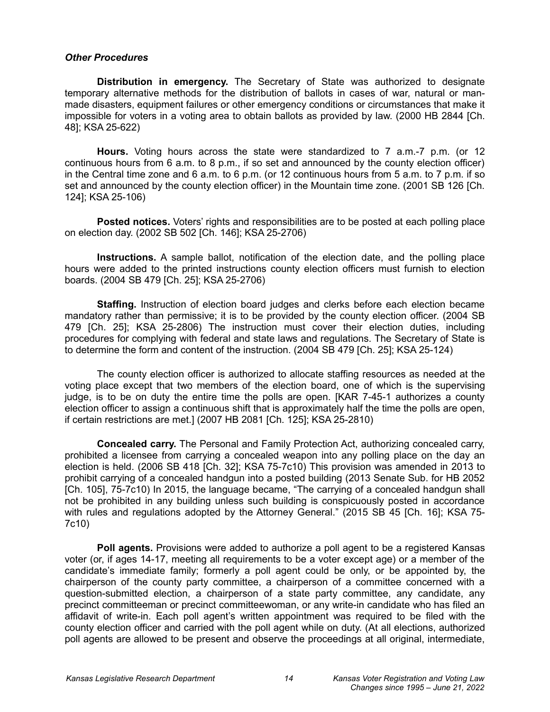#### <span id="page-13-0"></span>*Other Procedures*

**Distribution in emergency.** The Secretary of State was authorized to designate temporary alternative methods for the distribution of ballots in cases of war, natural or manmade disasters, equipment failures or other emergency conditions or circumstances that make it impossible for voters in a voting area to obtain ballots as provided by law. (2000 HB 2844 [Ch. 48]; KSA 25-622)

**Hours.** Voting hours across the state were standardized to 7 a.m.-7 p.m. (or 12 continuous hours from 6 a.m. to 8 p.m., if so set and announced by the county election officer) in the Central time zone and 6 a.m. to 6 p.m. (or 12 continuous hours from 5 a.m. to 7 p.m. if so set and announced by the county election officer) in the Mountain time zone. (2001 SB 126 [Ch. 124]; KSA 25-106)

**Posted notices.** Voters' rights and responsibilities are to be posted at each polling place on election day. (2002 SB 502 [Ch. 146]; KSA 25-2706)

**Instructions.** A sample ballot, notification of the election date, and the polling place hours were added to the printed instructions county election officers must furnish to election boards. (2004 SB 479 [Ch. 25]; KSA 25-2706)

**Staffing.** Instruction of election board judges and clerks before each election became mandatory rather than permissive; it is to be provided by the county election officer. (2004 SB 479 [Ch. 25]; KSA 25-2806) The instruction must cover their election duties, including procedures for complying with federal and state laws and regulations. The Secretary of State is to determine the form and content of the instruction. (2004 SB 479 [Ch. 25]; KSA 25-124)

The county election officer is authorized to allocate staffing resources as needed at the voting place except that two members of the election board, one of which is the supervising judge, is to be on duty the entire time the polls are open. [KAR 7-45-1 authorizes a county election officer to assign a continuous shift that is approximately half the time the polls are open, if certain restrictions are met.] (2007 HB 2081 [Ch. 125]; KSA 25-2810)

**Concealed carry.** The Personal and Family Protection Act, authorizing concealed carry, prohibited a licensee from carrying a concealed weapon into any polling place on the day an election is held. (2006 SB 418 [Ch. 32]; KSA 75-7c10) This provision was amended in 2013 to prohibit carrying of a concealed handgun into a posted building (2013 Senate Sub. for HB 2052 [Ch. 105], 75-7c10) In 2015, the language became, "The carrying of a concealed handgun shall not be prohibited in any building unless such building is conspicuously posted in accordance with rules and regulations adopted by the Attorney General." (2015 SB 45 [Ch. 16]; KSA 75- 7c10)

**Poll agents.** Provisions were added to authorize a poll agent to be a registered Kansas voter (or, if ages 14-17, meeting all requirements to be a voter except age) or a member of the candidate's immediate family; formerly a poll agent could be only, or be appointed by, the chairperson of the county party committee, a chairperson of a committee concerned with a question-submitted election, a chairperson of a state party committee, any candidate, any precinct committeeman or precinct committeewoman, or any write-in candidate who has filed an affidavit of write-in. Each poll agent's written appointment was required to be filed with the county election officer and carried with the poll agent while on duty. (At all elections, authorized poll agents are allowed to be present and observe the proceedings at all original, intermediate,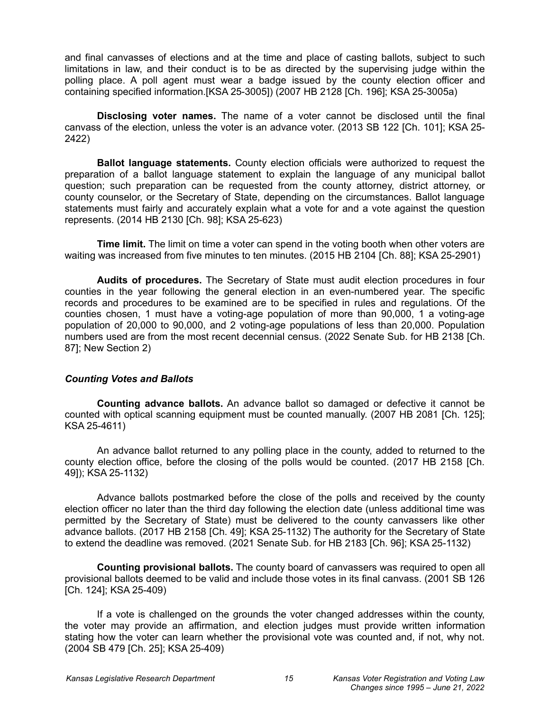and final canvasses of elections and at the time and place of casting ballots, subject to such limitations in law, and their conduct is to be as directed by the supervising judge within the polling place. A poll agent must wear a badge issued by the county election officer and containing specified information.[KSA 25-3005]) (2007 HB 2128 [Ch. 196]; KSA 25-3005a)

**Disclosing voter names.** The name of a voter cannot be disclosed until the final canvass of the election, unless the voter is an advance voter. (2013 SB 122 [Ch. 101]; KSA 25- 2422)

**Ballot language statements.** County election officials were authorized to request the preparation of a ballot language statement to explain the language of any municipal ballot question; such preparation can be requested from the county attorney, district attorney, or county counselor, or the Secretary of State, depending on the circumstances. Ballot language statements must fairly and accurately explain what a vote for and a vote against the question represents. (2014 HB 2130 [Ch. 98]; KSA 25-623)

**Time limit.** The limit on time a voter can spend in the voting booth when other voters are waiting was increased from five minutes to ten minutes. (2015 HB 2104 [Ch. 88]; KSA 25-2901)

**Audits of procedures.** The Secretary of State must audit election procedures in four counties in the year following the general election in an even-numbered year. The specific records and procedures to be examined are to be specified in rules and regulations. Of the counties chosen, 1 must have a voting-age population of more than 90,000, 1 a voting-age population of 20,000 to 90,000, and 2 voting-age populations of less than 20,000. Population numbers used are from the most recent decennial census. (2022 Senate Sub. for HB 2138 [Ch. 87]; New Section 2)

#### <span id="page-14-0"></span>*Counting Votes and Ballots*

**Counting advance ballots.** An advance ballot so damaged or defective it cannot be counted with optical scanning equipment must be counted manually. (2007 HB 2081 [Ch. 125]; KSA 25-4611)

An advance ballot returned to any polling place in the county, added to returned to the county election office, before the closing of the polls would be counted. (2017 HB 2158 [Ch. 49]); KSA 25-1132)

Advance ballots postmarked before the close of the polls and received by the county election officer no later than the third day following the election date (unless additional time was permitted by the Secretary of State) must be delivered to the county canvassers like other advance ballots. (2017 HB 2158 [Ch. 49]; KSA 25-1132) The authority for the Secretary of State to extend the deadline was removed. (2021 Senate Sub. for HB 2183 [Ch. 96]; KSA 25-1132)

**Counting provisional ballots.** The county board of canvassers was required to open all provisional ballots deemed to be valid and include those votes in its final canvass. (2001 SB 126 [Ch. 124]; KSA 25-409)

If a vote is challenged on the grounds the voter changed addresses within the county, the voter may provide an affirmation, and election judges must provide written information stating how the voter can learn whether the provisional vote was counted and, if not, why not. (2004 SB 479 [Ch. 25]; KSA 25-409)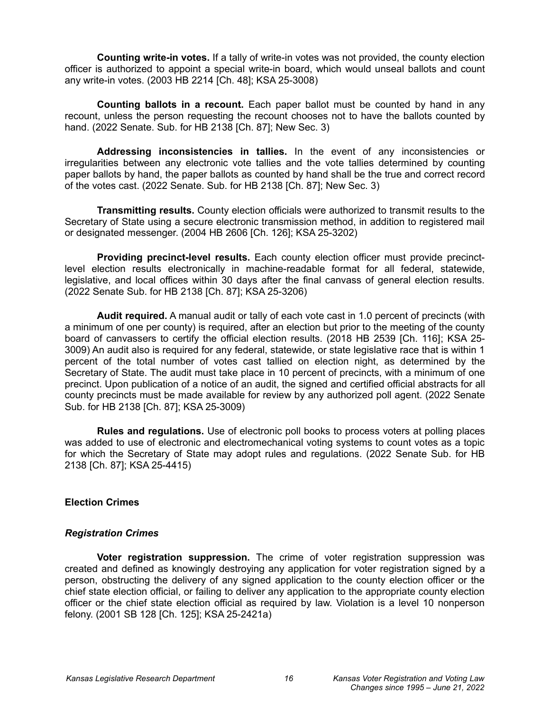**Counting write-in votes.** If a tally of write-in votes was not provided, the county election officer is authorized to appoint a special write-in board, which would unseal ballots and count any write-in votes. (2003 HB 2214 [Ch. 48]; KSA 25-3008)

**Counting ballots in a recount.** Each paper ballot must be counted by hand in any recount, unless the person requesting the recount chooses not to have the ballots counted by hand. (2022 Senate. Sub. for HB 2138 [Ch. 87]; New Sec. 3)

**Addressing inconsistencies in tallies.** In the event of any inconsistencies or irregularities between any electronic vote tallies and the vote tallies determined by counting paper ballots by hand, the paper ballots as counted by hand shall be the true and correct record of the votes cast. (2022 Senate. Sub. for HB 2138 [Ch. 87]; New Sec. 3)

**Transmitting results.** County election officials were authorized to transmit results to the Secretary of State using a secure electronic transmission method, in addition to registered mail or designated messenger. (2004 HB 2606 [Ch. 126]; KSA 25-3202)

**Providing precinct-level results.** Each county election officer must provide precinctlevel election results electronically in machine-readable format for all federal, statewide, legislative, and local offices within 30 days after the final canvass of general election results. (2022 Senate Sub. for HB 2138 [Ch. 87]; KSA 25-3206)

**Audit required.** A manual audit or tally of each vote cast in 1.0 percent of precincts (with a minimum of one per county) is required, after an election but prior to the meeting of the county board of canvassers to certify the official election results. (2018 HB 2539 [Ch. 116]; KSA 25- 3009) An audit also is required for any federal, statewide, or state legislative race that is within 1 percent of the total number of votes cast tallied on election night, as determined by the Secretary of State. The audit must take place in 10 percent of precincts, with a minimum of one precinct. Upon publication of a notice of an audit, the signed and certified official abstracts for all county precincts must be made available for review by any authorized poll agent. (2022 Senate Sub. for HB 2138 [Ch. 87]; KSA 25-3009)

**Rules and regulations.** Use of electronic poll books to process voters at polling places was added to use of electronic and electromechanical voting systems to count votes as a topic for which the Secretary of State may adopt rules and regulations. (2022 Senate Sub. for HB 2138 [Ch. 87]; KSA 25-4415)

# <span id="page-15-1"></span>**Election Crimes**

#### <span id="page-15-0"></span>*Registration Crimes*

**Voter registration suppression.** The crime of voter registration suppression was created and defined as knowingly destroying any application for voter registration signed by a person, obstructing the delivery of any signed application to the county election officer or the chief state election official, or failing to deliver any application to the appropriate county election officer or the chief state election official as required by law. Violation is a level 10 nonperson felony. (2001 SB 128 [Ch. 125]; KSA 25-2421a)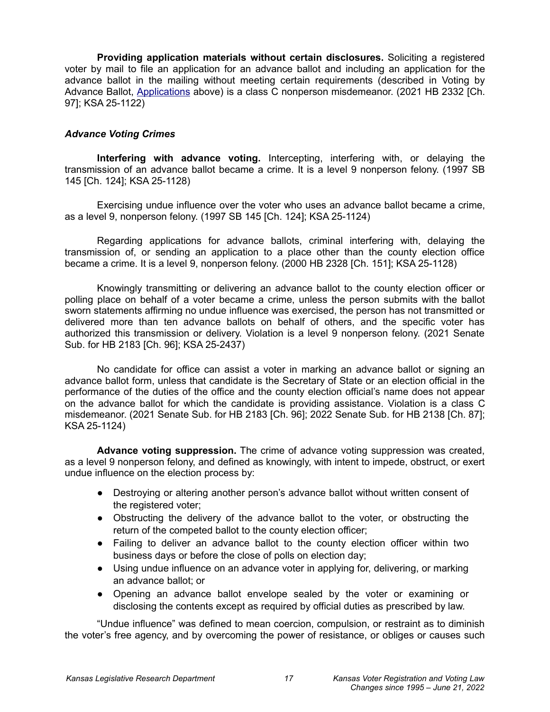**Providing application materials without certain disclosures.** Soliciting a registered voter by mail to file an application for an advance ballot and including an application for the advance ballot in the mailing without meeting certain requirements (described in Voting by Advance Ballot, [Applications](#page-4-0) above) is a class C nonperson misdemeanor. (2021 HB 2332 [Ch. 97]; KSA 25-1122)

### <span id="page-16-0"></span>*Advance Voting Crimes*

**Interfering with advance voting.** Intercepting, interfering with, or delaying the transmission of an advance ballot became a crime. It is a level 9 nonperson felony. (1997 SB 145 [Ch. 124]; KSA 25-1128)

Exercising undue influence over the voter who uses an advance ballot became a crime, as a level 9, nonperson felony. (1997 SB 145 [Ch. 124]; KSA 25-1124)

Regarding applications for advance ballots, criminal interfering with, delaying the transmission of, or sending an application to a place other than the county election office became a crime. It is a level 9, nonperson felony. (2000 HB 2328 [Ch. 151]; KSA 25-1128)

Knowingly transmitting or delivering an advance ballot to the county election officer or polling place on behalf of a voter became a crime, unless the person submits with the ballot sworn statements affirming no undue influence was exercised, the person has not transmitted or delivered more than ten advance ballots on behalf of others, and the specific voter has authorized this transmission or delivery. Violation is a level 9 nonperson felony. (2021 Senate Sub. for HB 2183 [Ch. 96]; KSA 25-2437)

No candidate for office can assist a voter in marking an advance ballot or signing an advance ballot form, unless that candidate is the Secretary of State or an election official in the performance of the duties of the office and the county election official's name does not appear on the advance ballot for which the candidate is providing assistance. Violation is a class C misdemeanor. (2021 Senate Sub. for HB 2183 [Ch. 96]; 2022 Senate Sub. for HB 2138 [Ch. 87]; KSA 25-1124)

**Advance voting suppression.** The crime of advance voting suppression was created, as a level 9 nonperson felony, and defined as knowingly, with intent to impede, obstruct, or exert undue influence on the election process by:

- Destroying or altering another person's advance ballot without written consent of the registered voter;
- Obstructing the delivery of the advance ballot to the voter, or obstructing the return of the competed ballot to the county election officer;
- Failing to deliver an advance ballot to the county election officer within two business days or before the close of polls on election day;
- Using undue influence on an advance voter in applying for, delivering, or marking an advance ballot; or
- Opening an advance ballot envelope sealed by the voter or examining or disclosing the contents except as required by official duties as prescribed by law.

"Undue influence" was defined to mean coercion, compulsion, or restraint as to diminish the voter's free agency, and by overcoming the power of resistance, or obliges or causes such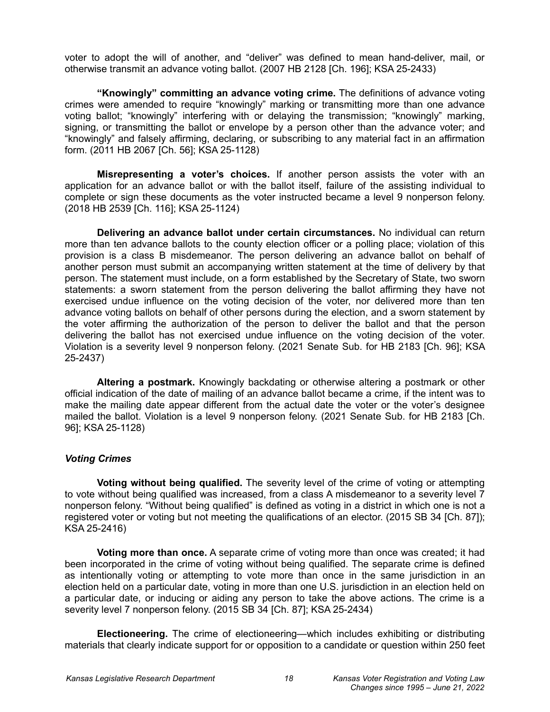voter to adopt the will of another, and "deliver" was defined to mean hand-deliver, mail, or otherwise transmit an advance voting ballot. (2007 HB 2128 [Ch. 196]; KSA 25-2433)

**"Knowingly" committing an advance voting crime.** The definitions of advance voting crimes were amended to require "knowingly" marking or transmitting more than one advance voting ballot; "knowingly" interfering with or delaying the transmission; "knowingly" marking, signing, or transmitting the ballot or envelope by a person other than the advance voter; and "knowingly" and falsely affirming, declaring, or subscribing to any material fact in an affirmation form. (2011 HB 2067 [Ch. 56]; KSA 25-1128)

**Misrepresenting a voter's choices.** If another person assists the voter with an application for an advance ballot or with the ballot itself, failure of the assisting individual to complete or sign these documents as the voter instructed became a level 9 nonperson felony. (2018 HB 2539 [Ch. 116]; KSA 25-1124)

**Delivering an advance ballot under certain circumstances.** No individual can return more than ten advance ballots to the county election officer or a polling place; violation of this provision is a class B misdemeanor. The person delivering an advance ballot on behalf of another person must submit an accompanying written statement at the time of delivery by that person. The statement must include, on a form established by the Secretary of State, two sworn statements: a sworn statement from the person delivering the ballot affirming they have not exercised undue influence on the voting decision of the voter, nor delivered more than ten advance voting ballots on behalf of other persons during the election, and a sworn statement by the voter affirming the authorization of the person to deliver the ballot and that the person delivering the ballot has not exercised undue influence on the voting decision of the voter. Violation is a severity level 9 nonperson felony. (2021 Senate Sub. for HB 2183 [Ch. 96]; KSA 25-2437)

**Altering a postmark.** Knowingly backdating or otherwise altering a postmark or other official indication of the date of mailing of an advance ballot became a crime, if the intent was to make the mailing date appear different from the actual date the voter or the voter's designee mailed the ballot. Violation is a level 9 nonperson felony. (2021 Senate Sub. for HB 2183 [Ch. 96]; KSA 25-1128)

# <span id="page-17-0"></span>*Voting Crimes*

**Voting without being qualified.** The severity level of the crime of voting or attempting to vote without being qualified was increased, from a class A misdemeanor to a severity level 7 nonperson felony. "Without being qualified" is defined as voting in a district in which one is not a registered voter or voting but not meeting the qualifications of an elector. (2015 SB 34 [Ch. 87]); KSA 25-2416)

**Voting more than once.** A separate crime of voting more than once was created; it had been incorporated in the crime of voting without being qualified. The separate crime is defined as intentionally voting or attempting to vote more than once in the same jurisdiction in an election held on a particular date, voting in more than one U.S. jurisdiction in an election held on a particular date, or inducing or aiding any person to take the above actions. The crime is a severity level 7 nonperson felony. (2015 SB 34 [Ch. 87]; KSA 25-2434)

**Electioneering.** The crime of electioneering—which includes exhibiting or distributing materials that clearly indicate support for or opposition to a candidate or question within 250 feet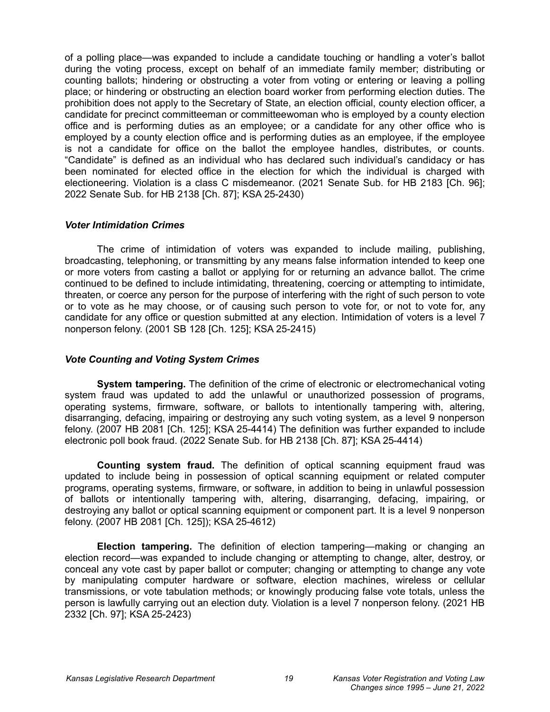of a polling place—was expanded to include a candidate touching or handling a voter's ballot during the voting process, except on behalf of an immediate family member; distributing or counting ballots; hindering or obstructing a voter from voting or entering or leaving a polling place; or hindering or obstructing an election board worker from performing election duties. The prohibition does not apply to the Secretary of State, an election official, county election officer, a candidate for precinct committeeman or committeewoman who is employed by a county election office and is performing duties as an employee; or a candidate for any other office who is employed by a county election office and is performing duties as an employee, if the employee is not a candidate for office on the ballot the employee handles, distributes, or counts. "Candidate" is defined as an individual who has declared such individual's candidacy or has been nominated for elected office in the election for which the individual is charged with electioneering. Violation is a class C misdemeanor. (2021 Senate Sub. for HB 2183 [Ch. 96]; 2022 Senate Sub. for HB 2138 [Ch. 87]; KSA 25-2430)

### <span id="page-18-1"></span>*Voter Intimidation Crimes*

The crime of intimidation of voters was expanded to include mailing, publishing, broadcasting, telephoning, or transmitting by any means false information intended to keep one or more voters from casting a ballot or applying for or returning an advance ballot. The crime continued to be defined to include intimidating, threatening, coercing or attempting to intimidate, threaten, or coerce any person for the purpose of interfering with the right of such person to vote or to vote as he may choose, or of causing such person to vote for, or not to vote for, any candidate for any office or question submitted at any election. Intimidation of voters is a level 7 nonperson felony. (2001 SB 128 [Ch. 125]; KSA 25-2415)

# <span id="page-18-0"></span>*Vote Counting and Voting System Crimes*

**System tampering.** The definition of the crime of electronic or electromechanical voting system fraud was updated to add the unlawful or unauthorized possession of programs, operating systems, firmware, software, or ballots to intentionally tampering with, altering, disarranging, defacing, impairing or destroying any such voting system, as a level 9 nonperson felony. (2007 HB 2081 [Ch. 125]; KSA 25-4414) The definition was further expanded to include electronic poll book fraud. (2022 Senate Sub. for HB 2138 [Ch. 87]; KSA 25-4414)

**Counting system fraud.** The definition of optical scanning equipment fraud was updated to include being in possession of optical scanning equipment or related computer programs, operating systems, firmware, or software, in addition to being in unlawful possession of ballots or intentionally tampering with, altering, disarranging, defacing, impairing, or destroying any ballot or optical scanning equipment or component part. It is a level 9 nonperson felony. (2007 HB 2081 [Ch. 125]); KSA 25-4612)

**Election tampering.** The definition of election tampering—making or changing an election record—was expanded to include changing or attempting to change, alter, destroy, or conceal any vote cast by paper ballot or computer; changing or attempting to change any vote by manipulating computer hardware or software, election machines, wireless or cellular transmissions, or vote tabulation methods; or knowingly producing false vote totals, unless the person is lawfully carrying out an election duty. Violation is a level 7 nonperson felony. (2021 HB 2332 [Ch. 97]; KSA 25-2423)